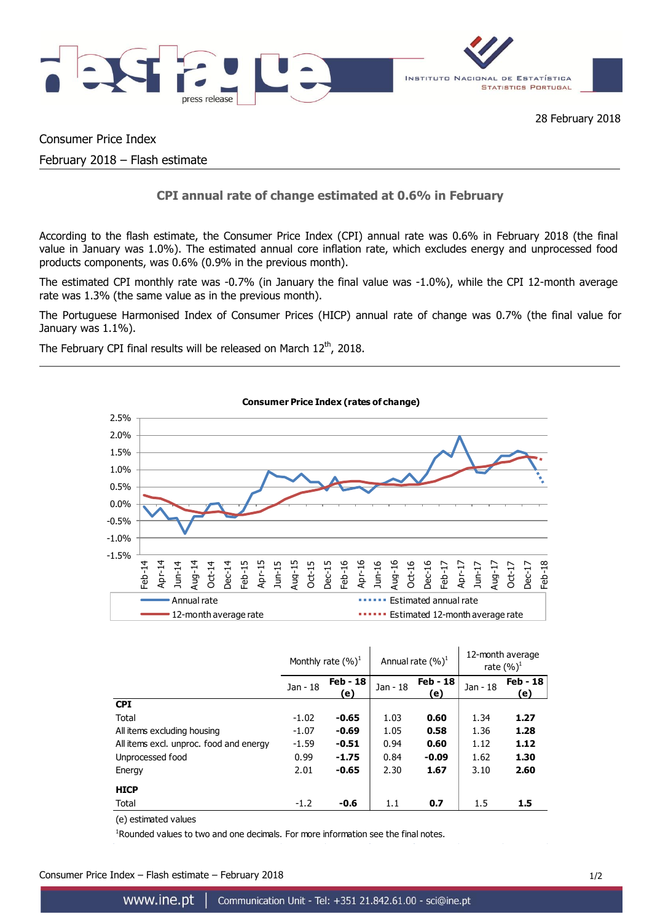

Consumer Price Index

February 2018 – Flash estimate

# **CPI annual rate of change estimated at 0.6% in February**

According to the flash estimate, the Consumer Price Index (CPI) annual rate was 0.6% in February 2018 (the final value in January was 1.0%). The estimated annual core inflation rate, which excludes energy and unprocessed food products components, was 0.6% (0.9% in the previous month).

The estimated CPI monthly rate was -0.7% (in January the final value was -1.0%), while the CPI 12-month average rate was 1.3% (the same value as in the previous month).

The Portuguese Harmonised Index of Consumer Prices (HICP) annual rate of change was 0.7% (the final value for January was 1.1%).

The February CPI final results will be released on March  $12^{th}$ , 2018.



|                                         | Monthly rate $(\%)^1$ |                 | Annual rate $(\%)^1$ |                 | 12-month average<br>rate $(\%)^1$ |                        |
|-----------------------------------------|-----------------------|-----------------|----------------------|-----------------|-----------------------------------|------------------------|
|                                         | Jan - 18              | Feb - 18<br>(e) | Jan - 18             | Feb - 18<br>(e) | Jan - 18                          | <b>Feb - 18</b><br>(e) |
| <b>CPI</b>                              |                       |                 |                      |                 |                                   |                        |
| Total                                   | $-1.02$               | $-0.65$         | 1.03                 | 0.60            | 1.34                              | 1.27                   |
| All items excluding housing             | $-1.07$               | $-0.69$         | 1.05                 | 0.58            | 1.36                              | 1.28                   |
| All items excl. unproc. food and energy | $-1.59$               | $-0.51$         | 0.94                 | 0.60            | 1.12                              | 1.12                   |
| Unprocessed food                        | 0.99                  | $-1.75$         | 0.84                 | $-0.09$         | 1.62                              | 1.30                   |
| Energy                                  | 2.01                  | $-0.65$         | 2.30                 | 1.67            | 3.10                              | 2.60                   |
| <b>HICP</b>                             |                       |                 |                      |                 |                                   |                        |
| Total                                   | $-1.2$                | $-0.6$          | 1.1                  | 0.7             | 1.5                               | 1.5                    |

(e) estimated values

<sup>1</sup>Rounded values to two and one decimals. For more information see the final notes.

Consumer Price Index – Flash estimate – February 2018 1/2